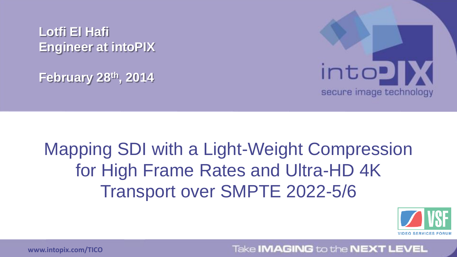**Lotfi El Hafi Engineer at intoPIX**

**February 28th, 2014**



## Mapping SDI with a Light-Weight Compression for High Frame Rates and Ultra-HD 4K Transport over SMPTE 2022-5/6

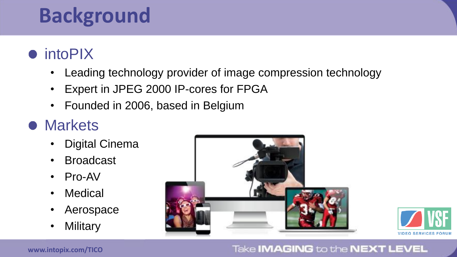# **Background**

## **•** intoPIX

- Leading technology provider of image compression technology
- Expert in JPEG 2000 IP-cores for FPGA
- Founded in 2006, based in Belgium

## **• Markets**

- Digital Cinema
- Broadcast
- Pro-AV
- Medical
- Aerospace
- **Military**





#### Take IMAGING to the NEXT LEVEL

#### **www.intopix.com/TICO**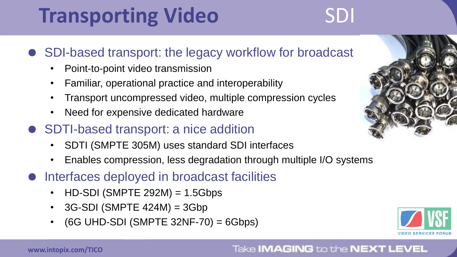# **Transporting Video** SDI

- SDI-based transport: the legacy workflow for broadcast
	- Point-to-point video transmission
	- Familiar, operational practice and interoperability
	- Transport uncompressed video, multiple compression cycles
	- Need for expensive dedicated hardware
- SDTI-based transport: a nice addition
	- SDTI (SMPTE 305M) uses standard SDI interfaces
	- Enables compression, less degradation through multiple I/O systems
- Interfaces deployed in broadcast facilities
	- HD-SDI (SMPTE 292M) =  $1.5Gbps$
	- 3G-SDI (SMPTE 424M) = 3Gbp
	- $\cdot$  (6G UHD-SDI (SMPTE 32NF-70) = 6Gbps)





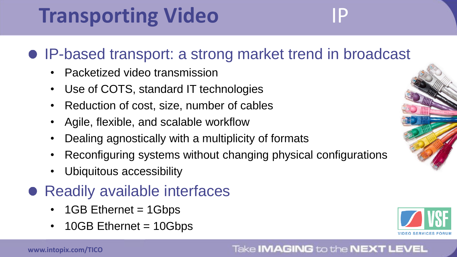# **Transporting Video IP**

• IP-based transport: a strong market trend in broadcast

- Packetized video transmission
- Use of COTS, standard IT technologies
- Reduction of cost, size, number of cables
- Agile, flexible, and scalable workflow
- Dealing agnostically with a multiplicity of formats
- Reconfiguring systems without changing physical configurations
- Ubiquitous accessibility

## ● Readily available interfaces

- 1GB Ethernet = 1Gbps
- 10GB Ethernet = 10Gbps



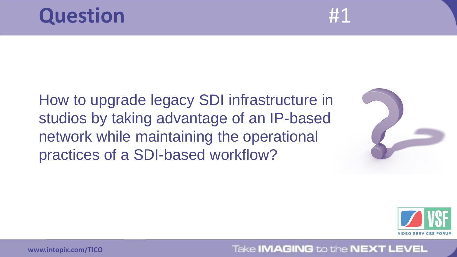



How to upgrade legacy SDI infrastructure in studios by taking advantage of an IP-based network while maintaining the operational practices of a SDI-based workflow?



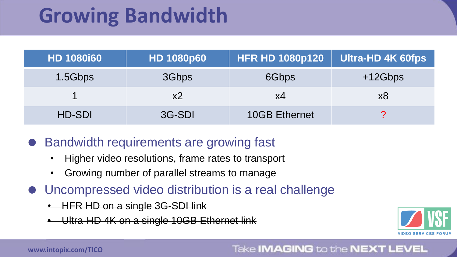# **Growing Bandwidth**

| <b>HD 1080160</b> | <b>HD 1080p60</b> | <b>HFR HD 1080p120</b> | Ultra-HD 4K 60fps |
|-------------------|-------------------|------------------------|-------------------|
| 1.5Gbps           | 3Gbps             | 6Gbps                  | $+12Gbps$         |
|                   | x2                | x4                     | х8                |
| <b>HD-SDI</b>     | 3G-SDI            | <b>10GB Ethernet</b>   |                   |

- Bandwidth requirements are growing fast
	- Higher video resolutions, frame rates to transport
	- Growing number of parallel streams to manage
- Uncompressed video distribution is a real challenge
	- HFR HD on a single 3G-SDI link
	- Ultra-HD 4K on a single 10GB Ethernet link

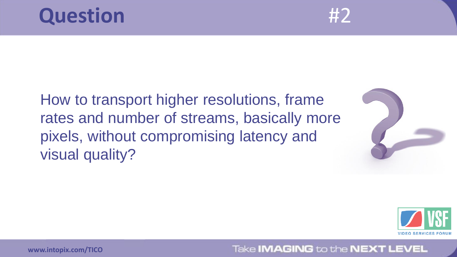



How to transport higher resolutions, frame rates and number of streams, basically more pixels, without compromising latency and visual quality?



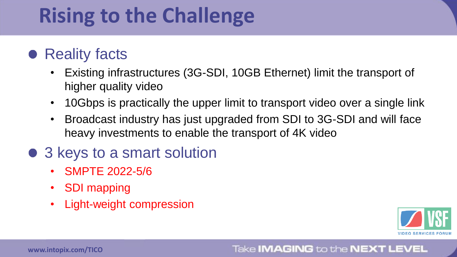# **Rising to the Challenge**

## • Reality facts

- Existing infrastructures (3G-SDI, 10GB Ethernet) limit the transport of higher quality video
- 10Gbps is practically the upper limit to transport video over a single link
- Broadcast industry has just upgraded from SDI to 3G-SDI and will face heavy investments to enable the transport of 4K video
- 3 keys to a smart solution
	- SMPTE 2022-5/6
	- SDI mapping
	- Light-weight compression

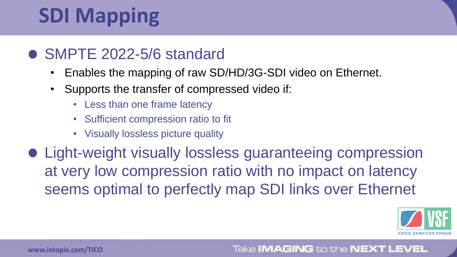# **SDI Mapping**

### • SMPTE 2022-5/6 standard

- Enables the mapping of raw SD/HD/3G-SDI video on Ethernet.
- Supports the transfer of compressed video if:
	- Less than one frame latency
	- Sufficient compression ratio to fit
	- Visually lossless picture quality
- Light-weight visually lossless guaranteeing compression at very low compression ratio with no impact on latency seems optimal to perfectly map SDI links over Ethernet

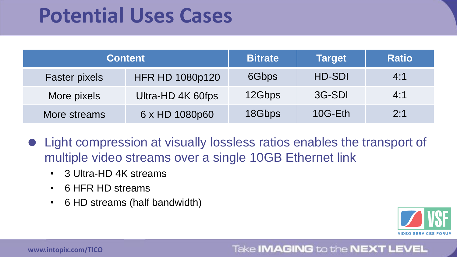## **Potential Uses Cases**

| <b>Content</b>       |                        | <b>Bitrate</b> | <b>Target</b> | <b>Ratio</b> |
|----------------------|------------------------|----------------|---------------|--------------|
| <b>Faster pixels</b> | <b>HFR HD 1080p120</b> | 6Gbps          | <b>HD-SDI</b> | 4:1          |
| More pixels          | Ultra-HD 4K 60fps      | 12Gbps         | 3G-SDI        | 4:1          |
| More streams         | 6 x HD 1080p60         | 18Gbps         | 10G-Eth       | 2:1          |

- Light compression at visually lossless ratios enables the transport of multiple video streams over a single 10GB Ethernet link
	- 3 Ultra-HD 4K streams
	- 6 HFR HD streams
	- 6 HD streams (half bandwidth)

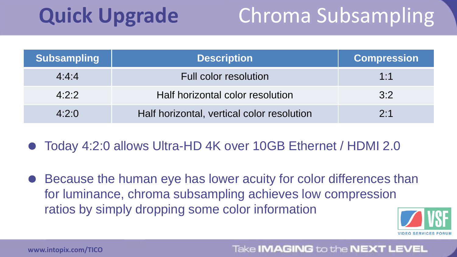# **Quick Upgrade** Chroma Subsampling

| <b>Subsampling</b> | <b>Description</b>                         | <b>Compression</b> |
|--------------------|--------------------------------------------|--------------------|
| 4:4:4              | <b>Full color resolution</b>               | 1:1                |
| 4.2.2              | Half horizontal color resolution           | 3:2                |
| 4:2:0              | Half horizontal, vertical color resolution | 2:1                |

Today 4:2:0 allows Ultra-HD 4K over 10GB Ethernet / HDMI 2.0

Because the human eye has lower acuity for color differences than for luminance, chroma subsampling achieves low compression ratios by simply dropping some color information

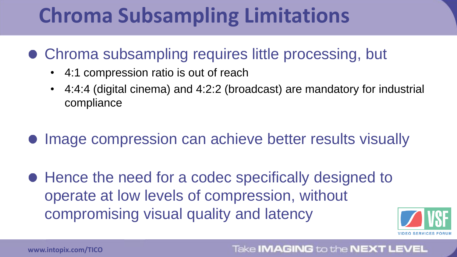## **Chroma Subsampling Limitations**

- Chroma subsampling requires little processing, but
	- 4:1 compression ratio is out of reach
	- 4:4:4 (digital cinema) and 4:2:2 (broadcast) are mandatory for industrial compliance
- Image compression can achieve better results visually

• Hence the need for a codec specifically designed to operate at low levels of compression, without compromising visual quality and latency

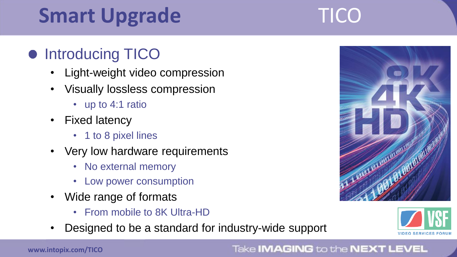# **Smart Upgrade TICO**

## • Introducing TICO

- Light-weight video compression
- Visually lossless compression
	- up to 4:1 ratio
- Fixed latency
	- 1 to 8 pixel lines
- Very low hardware requirements
	- No external memory
	- Low power consumption
- Wide range of formats
	- From mobile to 8K Ultra-HD
- Designed to be a standard for industry-wide support



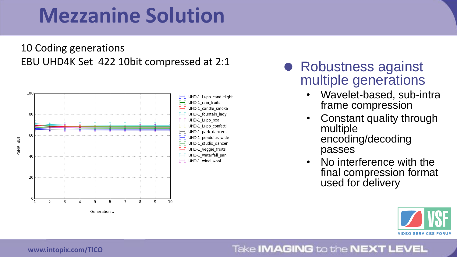## **Mezzanine Solution**

#### 10 Coding generations EBU UHD4K Set 422 10bit compressed at 2:1



- Robustness against multiple generations
	- Wavelet-based, sub-intra frame compression
	- Constant quality through multiple encoding/decoding passes
	- No interference with the final compression format used for delivery

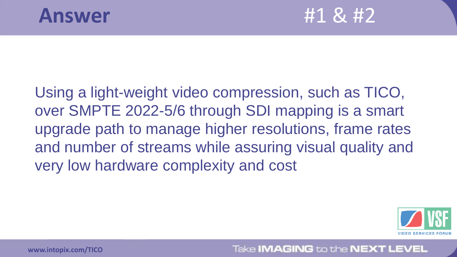

Using a light-weight video compression, such as TICO, over SMPTE 2022-5/6 through SDI mapping is a smart upgrade path to manage higher resolutions, frame rates and number of streams while assuring visual quality and very low hardware complexity and cost

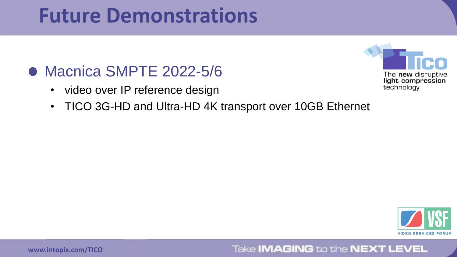## **Future Demonstrations**

### ● Macnica SMPTE 2022-5/6

• video over IP reference design

- The new disruptive light compression technology
- TICO 3G-HD and Ultra-HD 4K transport over 10GB Ethernet